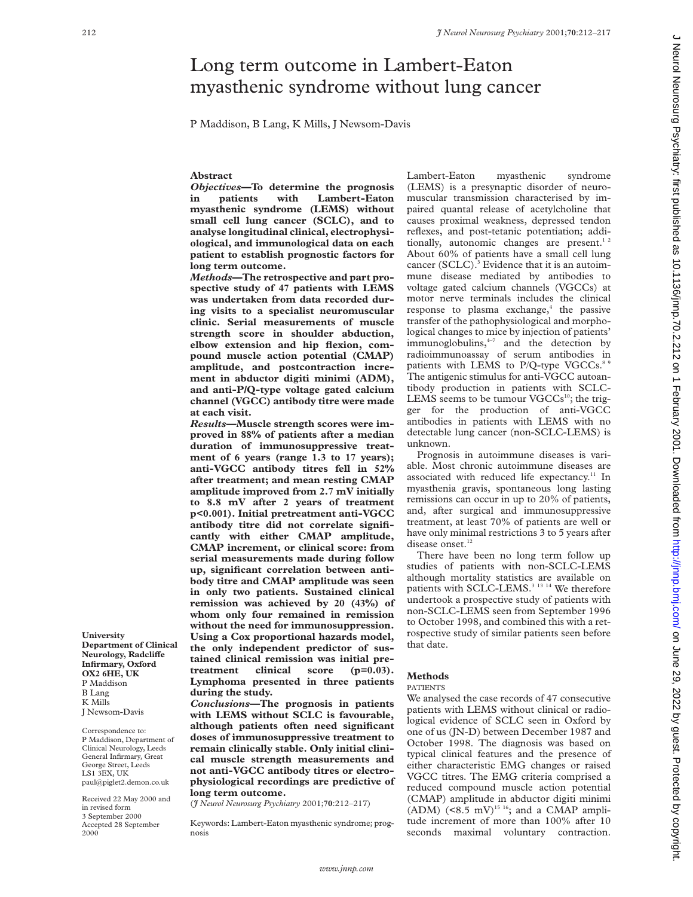# Long term outcome in Lambert-Eaton myasthenic syndrome without lung cancer

P Maddison, B Lang, K Mills, J Newsom-Davis

# **Abstract**

*Objectives***—To determine the prognosis in patients with Lambert-Eaton myasthenic syndrome (LEMS) without small cell lung cancer (SCLC), and to analyse longitudinal clinical, electrophysiological, and immunological data on each patient to establish prognostic factors for long term outcome.**

*Methods***—The retrospective and part prospective study of 47 patients with LEMS was undertaken from data recorded during visits to a specialist neuromuscular clinic. Serial measurements of muscle strength score in shoulder abduction, elbow extension and hip flexion, compound muscle action potential (CMAP) amplitude, and postcontraction increment in abductor digiti minimi (ADM), and anti-P/Q-type voltage gated calcium channel (VGCC) antibody titre were made at each visit.**

*Results***—Muscle strength scores were improved in 88% of patients after a median duration of immunosuppressive treatment of 6 years (range 1.3 to 17 years); anti-VGCC antibody titres fell in 52% after treatment; and mean resting CMAP amplitude improved from 2.7 mV initially to 8.8 mV after 2 years of treatment p<0.001). Initial pretreatment anti-VGCC antibody titre did not correlate significantly with either CMAP amplitude, CMAP increment, or clinical score: from serial measurements made during follow up, significant correlation between antibody titre and CMAP amplitude was seen in only two patients. Sustained clinical remission was achieved by 20 (43%) of whom only four remained in remission without the need for immunosuppression. Using a Cox proportional hazards model, the only independent predictor of sustained clinical remission was initial pretreatment clinical score (p=0.03). Lymphoma presented in three patients during the study.**

*Conclusions***—The prognosis in patients with LEMS without SCLC is favourable, although patients often need significant doses of immunosuppressive treatment to remain clinically stable. Only initial clinical muscle strength measurements and not anti-VGCC antibody titres or electrophysiological recordings are predictive of long term outcome.**

(*J Neurol Neurosurg Psychiatry* 2001;**70**:212–217)

Keywords: Lambert-Eaton myasthenic syndrome; prognosis

Lambert-Eaton myasthenic syndrome (LEMS) is a presynaptic disorder of neuromuscular transmission characterised by impaired quantal release of acetylcholine that causes proximal weakness, depressed tendon reflexes, and post-tetanic potentiation; additionally, autonomic changes are present. $12$ About 60% of patients have a small cell lung cancer  $(SCLC)$ .<sup>3</sup> Evidence that it is an autoimmune disease mediated by antibodies to voltage gated calcium channels (VGCCs) at motor nerve terminals includes the clinical response to plasma exchange, $4$  the passive transfer of the pathophysiological and morphological changes to mice by injection of patients' immunoglobulins, $4-7$  and the detection by radioimmunoassay of serum antibodies in patients with LEMS to P/Q-type VGCCs.<sup>8</sup> The antigenic stimulus for anti-VGCC autoantibody production in patients with SCLC-LEMS seems to be tumour VGCCs<sup>10</sup>; the trigger for the production of anti-VGCC antibodies in patients with LEMS with no detectable lung cancer (non-SCLC-LEMS) is unknown.

Prognosis in autoimmune diseases is variable. Most chronic autoimmune diseases are associated with reduced life expectancy.<sup>11</sup> In myasthenia gravis, spontaneous long lasting remissions can occur in up to 20% of patients, and, after surgical and immunosuppressive treatment, at least 70% of patients are well or have only minimal restrictions 3 to 5 years after disease onset.<sup>12</sup>

There have been no long term follow up studies of patients with non-SCLC-LEMS although mortality statistics are available on patients with SCLC-LEMS.<sup>3 13 14</sup> We therefore undertook a prospective study of patients with non-SCLC-LEMS seen from September 1996 to October 1998, and combined this with a retrospective study of similar patients seen before that date.

## **Methods**

#### PATIENTS

We analysed the case records of 47 consecutive patients with LEMS without clinical or radiological evidence of SCLC seen in Oxford by one of us (JN-D) between December 1987 and October 1998. The diagnosis was based on typical clinical features and the presence of either characteristic EMG changes or raised VGCC titres. The EMG criteria comprised a reduced compound muscle action potential (CMAP) amplitude in abductor digiti minimi (ADM)  $(<8.5 \text{ mV})^{15}$ <sup>16</sup>; and a CMAP amplitude increment of more than 100% after 10 seconds maximal voluntary contraction.

**University Department of Clinical**  $Neurology, Radcliffe$ **Infirmary, Oxford OX2 6HE, UK** P Maddison B Lang K Mills J Newsom-Davis

Correspondence to: P Maddison, Department of Clinical Neurology, Leeds General Infirmary, Great George Street, Leeds LS1 3EX, UK paul@piglet2.demon.co.uk

Received 22 May 2000 and in revised form 3 September 2000 Accepted 28 September 2000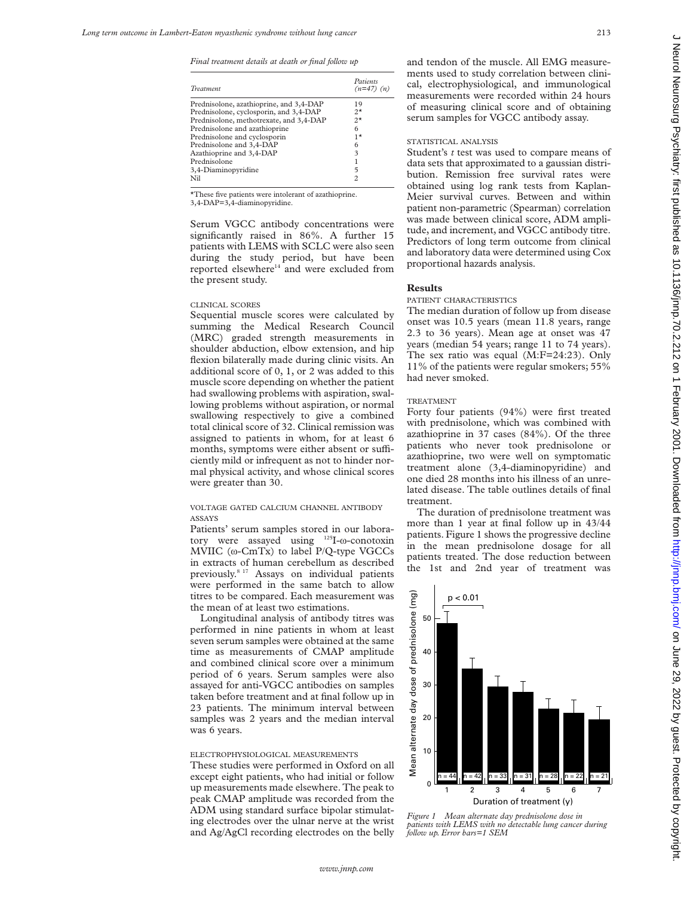*Final treatment details at death or final follow up*

| <b>Treatment</b>                        | Patients<br>$(n=47)$ $(n)$ |
|-----------------------------------------|----------------------------|
| Prednisolone, azathioprine, and 3,4-DAP | 19                         |
| Prednisolone, cyclosporin, and 3,4-DAP  | $2^{\star}$                |
| Prednisolone, methotrexate, and 3,4-DAP | $2^{\star}$                |
| Prednisolone and azathioprine           | 6                          |
| Prednisolone and cyclosporin            | $1*$                       |
| Prednisolone and 3,4-DAP                | 6                          |
| Azathioprine and 3,4-DAP                | 3                          |
| Prednisolone                            |                            |
| 3,4-Diaminopyridine                     | 5                          |
| Nil                                     | 2                          |

\*These five patients were intolerant of azathioprine.

3,4-DAP=3,4-diaminopyridine.

Serum VGCC antibody concentrations were significantly raised in 86%. A further 15 patients with LEMS with SCLC were also seen during the study period, but have been reported elsewhere<sup>14</sup> and were excluded from the present study.

## CLINICAL SCORES

Sequential muscle scores were calculated by summing the Medical Research Council (MRC) graded strength measurements in shoulder abduction, elbow extension, and hip flexion bilaterally made during clinic visits. An additional score of 0, 1, or 2 was added to this muscle score depending on whether the patient had swallowing problems with aspiration, swallowing problems without aspiration, or normal swallowing respectively to give a combined total clinical score of 32. Clinical remission was assigned to patients in whom, for at least 6 months, symptoms were either absent or sufficiently mild or infrequent as not to hinder normal physical activity, and whose clinical scores were greater than 30.

## VOLTAGE GATED CALCIUM CHANNEL ANTIBODY ASSAYS

Patients' serum samples stored in our laboratory were assayed using 125I-ù-conotoxin MVIIC (ù-CmTx) to label P/Q-type VGCCs in extracts of human cerebellum as described previously.8 17 Assays on individual patients were performed in the same batch to allow titres to be compared. Each measurement was the mean of at least two estimations.

Longitudinal analysis of antibody titres was performed in nine patients in whom at least seven serum samples were obtained at the same time as measurements of CMAP amplitude and combined clinical score over a minimum period of 6 years. Serum samples were also assayed for anti-VGCC antibodies on samples taken before treatment and at final follow up in 23 patients. The minimum interval between samples was 2 years and the median interval was 6 years.

# ELECTROPHYSIOLOGICAL MEASUREMENTS

These studies were performed in Oxford on all except eight patients, who had initial or follow up measurements made elsewhere. The peak to peak CMAP amplitude was recorded from the ADM using standard surface bipolar stimulating electrodes over the ulnar nerve at the wrist and Ag/AgCl recording electrodes on the belly

and tendon of the muscle. All EMG measurements used to study correlation between clinical, electrophysiological, and immunological measurements were recorded within 24 hours of measuring clinical score and of obtaining serum samples for VGCC antibody assay.

## STATISTICAL ANALYSIS

Student's *t* test was used to compare means of data sets that approximated to a gaussian distribution. Remission free survival rates were obtained using log rank tests from Kaplan-Meier survival curves. Between and within patient non-parametric (Spearman) correlation was made between clinical score, ADM amplitude, and increment, and VGCC antibody titre. Predictors of long term outcome from clinical and laboratory data were determined using Cox proportional hazards analysis.

## **Results**

#### PATIENT CHARACTERISTICS

The median duration of follow up from disease onset was 10.5 years (mean 11.8 years, range 2.3 to 36 years). Mean age at onset was 47 years (median 54 years; range 11 to 74 years). The sex ratio was equal (M:F=24:23). Only 11% of the patients were regular smokers; 55% had never smoked.

# TREATMENT

Forty four patients (94%) were first treated with prednisolone, which was combined with azathioprine in 37 cases (84%). Of the three patients who never took prednisolone or azathioprine, two were well on symptomatic treatment alone (3,4-diaminopyridine) and one died 28 months into his illness of an unrelated disease. The table outlines details of final treatment.

The duration of prednisolone treatment was more than 1 year at final follow up in 43/44 patients. Figure 1 shows the progressive decline in the mean prednisolone dosage for all patients treated. The dose reduction between the 1st and 2nd year of treatment was

 $(mg)$ Mean alternate day dose of prednisolone (mg)  $p < 0.01$ of prednisolone 50 40 dose 30 Vlean alternate day 20 10 n = 44 n = 42 n = 33 n = 31 n = 28 n = 22 n = 21  $\Omega$ 1 2 3 4 5 6 7 Duration of treatment (y)

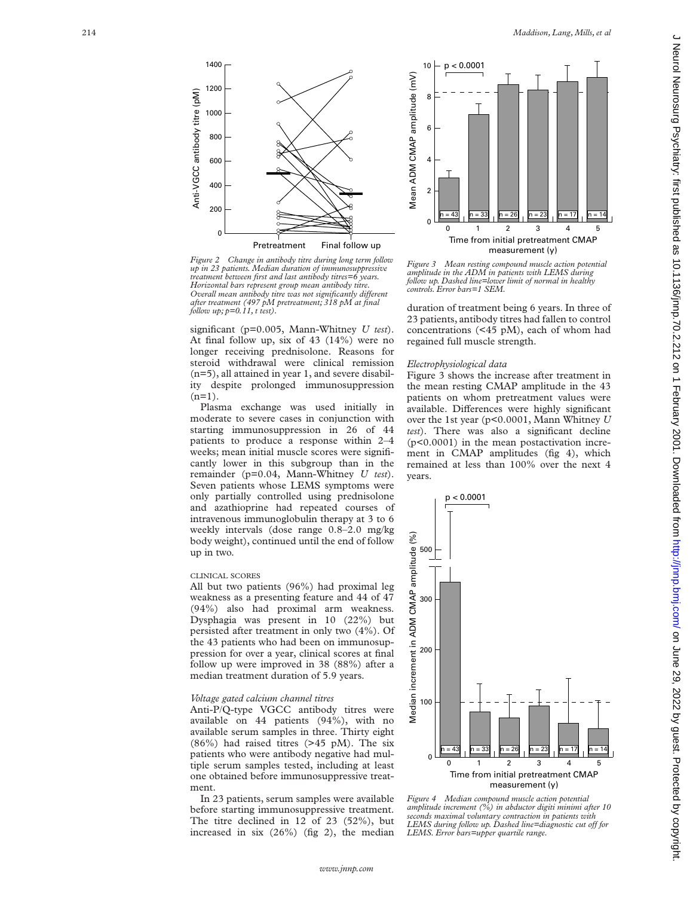

*Figure 2 Change in antibody titre during long term follow up in 23 patients. Median duration of immunosuppressive treatment between first and last antibody titres=6 years. Horizontal bars represent group mean antibody titre. Overall mean antibody titre was not significantly different after treatment (497 pM pretreatment; 318 pM at final follow up; p=0.11, t test).*

significant (p=0.005, Mann-Whitney *U test*). At final follow up, six of 43 (14%) were no longer receiving prednisolone. Reasons for steroid withdrawal were clinical remission (n=5), all attained in year 1, and severe disability despite prolonged immunosuppression  $(n=1)$ .

Plasma exchange was used initially in moderate to severe cases in conjunction with starting immunosuppression in 26 of 44 patients to produce a response within 2–4 weeks; mean initial muscle scores were significantly lower in this subgroup than in the remainder (p=0.04, Mann-Whitney *U test*). Seven patients whose LEMS symptoms were only partially controlled using prednisolone and azathioprine had repeated courses of intravenous immunoglobulin therapy at 3 to 6 weekly intervals (dose range 0.8–2.0 mg/kg body weight), continued until the end of follow up in two.

#### CLINICAL SCORES

All but two patients (96%) had proximal leg weakness as a presenting feature and 44 of 47 (94%) also had proximal arm weakness. Dysphagia was present in 10 (22%) but persisted after treatment in only two (4%). Of the 43 patients who had been on immunosuppression for over a year, clinical scores at final follow up were improved in 38 (88%) after a median treatment duration of 5.9 years.

#### *Voltage gated calcium channel titres*

Anti-P/Q-type VGCC antibody titres were available on 44 patients (94%), with no available serum samples in three. Thirty eight  $(86\%)$  had raised titres  $(>45 \text{ pM})$ . The six patients who were antibody negative had multiple serum samples tested, including at least one obtained before immunosuppressive treatment.

In 23 patients, serum samples were available before starting immunosuppressive treatment. The titre declined in 12 of 23 (52%), but increased in six (26%) (fig 2), the median



*Figure 3 Mean resting compound muscle action potential amplitude in the ADM in patients with LEMS during follow up. Dashed line=lower limit of normal in healthy controls. Error bars=1 SEM.*

duration of treatment being 6 years. In three of 23 patients, antibody titres had fallen to control concentrations (<45 pM), each of whom had regained full muscle strength.

## *Electrophysiological data*

Figure 3 shows the increase after treatment in the mean resting CMAP amplitude in the 43 patients on whom pretreatment values were available. Differences were highly significant over the 1st year (p<0.0001, Mann Whitney *U test*). There was also a significant decline (p<0.0001) in the mean postactivation increment in CMAP amplitudes (fig 4), which remained at less than 100% over the next 4 years.



*Figure 4 Median compound muscle action potential amplitude increment (%) in abductor digiti minimi after 10 seconds maximal voluntary contraction in patients with* LEMS during follow up. Dashed line=diagnostic cut off for *LEMS. Error bars=upper quartile range.*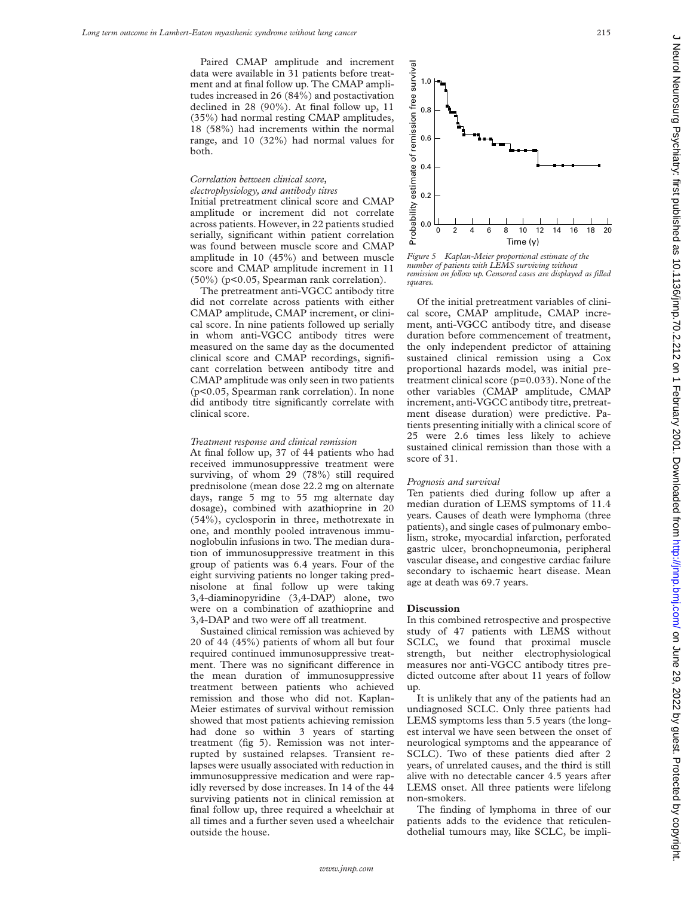Paired CMAP amplitude and increment data were available in 31 patients before treatment and at final follow up. The CMAP amplitudes increased in 26 (84%) and postactivation declined in 28 (90%). At final follow up, 11 (35%) had normal resting CMAP amplitudes, 18 (58%) had increments within the normal range, and 10 (32%) had normal values for both.

# *Correlation between clinical score,*

*electrophysiology, and antibody titres* Initial pretreatment clinical score and CMAP amplitude or increment did not correlate across patients. However, in 22 patients studied serially, significant within patient correlation was found between muscle score and CMAP amplitude in 10 (45%) and between muscle score and CMAP amplitude increment in 11 (50%) (p<0.05, Spearman rank correlation).

The pretreatment anti-VGCC antibody titre did not correlate across patients with either CMAP amplitude, CMAP increment, or clinical score. In nine patients followed up serially in whom anti-VGCC antibody titres were measured on the same day as the documented clinical score and CMAP recordings, significant correlation between antibody titre and CMAP amplitude was only seen in two patients (p<0.05, Spearman rank correlation). In none did antibody titre significantly correlate with clinical score.

## *Treatment response and clinical remission*

At final follow up, 37 of 44 patients who had received immunosuppressive treatment were surviving, of whom 29 (78%) still required prednisolone (mean dose 22.2 mg on alternate days, range 5 mg to 55 mg alternate day dosage), combined with azathioprine in 20 (54%), cyclosporin in three, methotrexate in one, and monthly pooled intravenous immunoglobulin infusions in two. The median duration of immunosuppressive treatment in this group of patients was 6.4 years. Four of the eight surviving patients no longer taking prednisolone at final follow up were taking 3,4-diaminopyridine (3,4-DAP) alone, two were on a combination of azathioprine and 3,4-DAP and two were off all treatment.

Sustained clinical remission was achieved by 20 of 44 (45%) patients of whom all but four required continued immunosuppressive treatment. There was no significant difference in the mean duration of immunosuppressive treatment between patients who achieved remission and those who did not. Kaplan-Meier estimates of survival without remission showed that most patients achieving remission had done so within 3 years of starting treatment (fig 5). Remission was not interrupted by sustained relapses. Transient relapses were usually associated with reduction in immunosuppressive medication and were rapidly reversed by dose increases. In 14 of the 44 surviving patients not in clinical remission at final follow up, three required a wheelchair at all times and a further seven used a wheelchair outside the house.



*Figure 5 Kaplan-Meier proportional estimate of the number of patients with LEMS surviving without remission on follow up. Censored cases are displayed as filled squares.*

Of the initial pretreatment variables of clinical score, CMAP amplitude, CMAP increment, anti-VGCC antibody titre, and disease duration before commencement of treatment, the only independent predictor of attaining sustained clinical remission using a Cox proportional hazards model, was initial pretreatment clinical score (p=0.033). None of the other variables (CMAP amplitude, CMAP increment, anti-VGCC antibody titre, pretreatment disease duration) were predictive. Patients presenting initially with a clinical score of 25 were 2.6 times less likely to achieve sustained clinical remission than those with a score of 31.

#### *Prognosis and survival*

Ten patients died during follow up after a median duration of LEMS symptoms of 11.4 years. Causes of death were lymphoma (three patients), and single cases of pulmonary embolism, stroke, myocardial infarction, perforated gastric ulcer, bronchopneumonia, peripheral vascular disease, and congestive cardiac failure secondary to ischaemic heart disease. Mean age at death was 69.7 years.

#### **Discussion**

In this combined retrospective and prospective study of 47 patients with LEMS without SCLC, we found that proximal muscle strength, but neither electrophysiological measures nor anti-VGCC antibody titres predicted outcome after about 11 years of follow up.

It is unlikely that any of the patients had an undiagnosed SCLC. Only three patients had LEMS symptoms less than 5.5 years (the longest interval we have seen between the onset of neurological symptoms and the appearance of SCLC). Two of these patients died after 2 years, of unrelated causes, and the third is still alive with no detectable cancer 4.5 years after LEMS onset. All three patients were lifelong non-smokers.

The finding of lymphoma in three of our patients adds to the evidence that reticulendothelial tumours may, like SCLC, be impli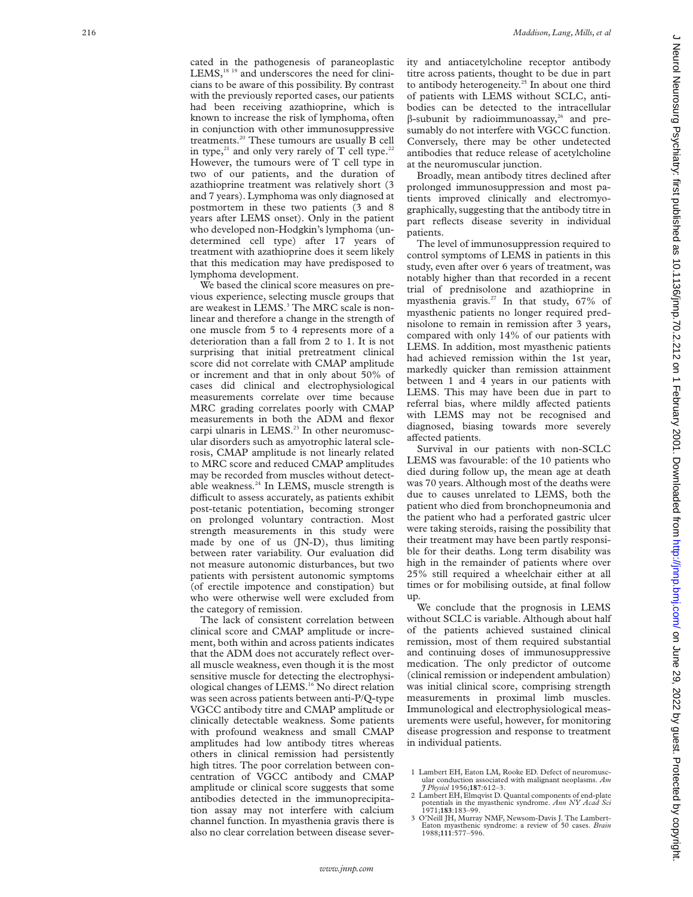cated in the pathogenesis of paraneoplastic LEMS,<sup>18 19</sup> and underscores the need for clinicians to be aware of this possibility. By contrast with the previously reported cases, our patients had been receiving azathioprine, which is known to increase the risk of lymphoma, often in conjunction with other immunosuppressive treatments.20 These tumours are usually B cell in type,<sup>21</sup> and only very rarely of T cell type.<sup>22</sup> However, the tumours were of T cell type in two of our patients, and the duration of azathioprine treatment was relatively short (3 and 7 years). Lymphoma was only diagnosed at postmortem in these two patients (3 and 8 years after LEMS onset). Only in the patient who developed non-Hodgkin's lymphoma (undetermined cell type) after 17 years of treatment with azathioprine does it seem likely that this medication may have predisposed to lymphoma development.

We based the clinical score measures on previous experience, selecting muscle groups that are weakest in LEMS. <sup>3</sup> The MRC scale is nonlinear and therefore a change in the strength of one muscle from 5 to 4 represents more of a deterioration than a fall from 2 to 1. It is not surprising that initial pretreatment clinical score did not correlate with CMAP amplitude or increment and that in only about 50% of cases did clinical and electrophysiological measurements correlate over time because MRC grading correlates poorly with CMAP measurements in both the ADM and flexor carpi ulnaris in LEMS.<sup>23</sup> In other neuromuscular disorders such as amyotrophic lateral sclerosis, CMAP amplitude is not linearly related to MRC score and reduced CMAP amplitudes may be recorded from muscles without detectable weakness.<sup>24</sup> In LEMS, muscle strength is difficult to assess accurately, as patients exhibit post-tetanic potentiation, becoming stronger on prolonged voluntary contraction. Most strength measurements in this study were made by one of us (JN-D), thus limiting between rater variability. Our evaluation did not measure autonomic disturbances, but two patients with persistent autonomic symptoms (of erectile impotence and constipation) but who were otherwise well were excluded from the category of remission.

The lack of consistent correlation between clinical score and CMAP amplitude or increment, both within and across patients indicates that the ADM does not accurately reflect overall muscle weakness, even though it is the most sensitive muscle for detecting the electrophysiological changes of LEMS.16 No direct relation was seen across patients between anti-P/Q-type VGCC antibody titre and CMAP amplitude or clinically detectable weakness. Some patients with profound weakness and small CMAP amplitudes had low antibody titres whereas others in clinical remission had persistently high titres. The poor correlation between concentration of VGCC antibody and CMAP amplitude or clinical score suggests that some antibodies detected in the immunoprecipitation assay may not interfere with calcium channel function. In myasthenia gravis there is also no clear correlation between disease severity and antiacetylcholine receptor antibody titre across patients, thought to be due in part to antibody heterogeneity.<sup>25</sup> In about one third of patients with LEMS without SCLC, antibodies can be detected to the intracellular  $\beta$ -subunit by radioimmunoassay,<sup>26</sup> and presumably do not interfere with VGCC function. Conversely, there may be other undetected antibodies that reduce release of acetylcholine at the neuromuscular junction.

Broadly, mean antibody titres declined after prolonged immunosuppression and most patients improved clinically and electromyographically, suggesting that the antibody titre in part reflects disease severity in individual patients.

The level of immunosuppression required to control symptoms of LEMS in patients in this study, even after over 6 years of treatment, was notably higher than that recorded in a recent trial of prednisolone and azathioprine in myasthenia gravis.<sup>27</sup> In that study,  $67\%$  of myasthenic patients no longer required prednisolone to remain in remission after 3 years, compared with only 14% of our patients with LEMS. In addition, most myasthenic patients had achieved remission within the 1st year, markedly quicker than remission attainment between 1 and 4 years in our patients with LEMS. This may have been due in part to referral bias, where mildly affected patients with LEMS may not be recognised and diagnosed, biasing towards more severely affected patients.

Survival in our patients with non-SCLC LEMS was favourable: of the 10 patients who died during follow up, the mean age at death was 70 years. Although most of the deaths were due to causes unrelated to LEMS, both the patient who died from bronchopneumonia and the patient who had a perforated gastric ulcer were taking steroids, raising the possibility that their treatment may have been partly responsible for their deaths. Long term disability was high in the remainder of patients where over 25% still required a wheelchair either at all times or for mobilising outside, at final follow up.

We conclude that the prognosis in LEMS without SCLC is variable. Although about half of the patients achieved sustained clinical remission, most of them required substantial and continuing doses of immunosuppressive medication. The only predictor of outcome (clinical remission or independent ambulation) was initial clinical score, comprising strength measurements in proximal limb muscles. Immunological and electrophysiological measurements were useful, however, for monitoring disease progression and response to treatment in individual patients.

<sup>1</sup> Lambert EH, Eaton LM, Rooke ED. Defect of neuromuscular conduction associated with malignant neoplasms. *Am J Physiol* 1956;**187**:612–3.

<sup>2</sup> Lambert EH, Elmqvist D. Quantal components of end-plate potentials in the myasthenic syndrome. *Ann NY Acad Sci* 1971;**183**:183–99.

<sup>3</sup> O'Neill JH, Murray NMF, Newsom-Davis J. The Lambert-Eaton myasthenic syndrome: a review of 50 cases. *Brain* 1988;**111**:577–596.